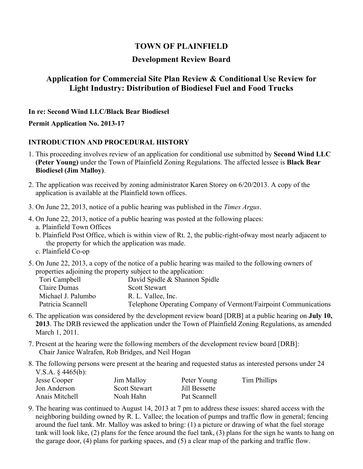# **TOWN OF PLAINFIELD**

### **Development Review Board**

## **Application for Commercial Site Plan Review & Conditional Use Review for Light Industry: Distribution of Biodiesel Fuel and Food Trucks**

**In re: Second Wind LLC/Black Bear Biodiesel** 

**Permit Application No. 2013-17**

#### **INTRODUCTION AND PROCEDURAL HISTORY**

- 1. This proceeding involves review of an application for conditional use submitted by **Second Wind LLC (Peter Young)** under the Town of Plainfield Zoning Regulations. The affected lessee is **Black Bear Biodiesel (Jim Malloy)**.
- 2. The application was received by zoning administrator Karen Storey on 6/20/2013. A copy of the application is available at the Plainfield town offices.
- 3. On June 22, 2013, notice of a public hearing was published in the *Times Argus*.
- 4. On June 22, 2013, notice of a public hearing was posted at the following places: a. Plainfield Town Offices
	- b. Plainfield Post Office, which is within view of Rt. 2, the public-right-ofway most nearly adjacent to the property for which the application was made.
	- c. Plainfield Co-op
- 5. On June 22, 2013, a copy of the notice of a public hearing was mailed to the following owners of properties adjoining the property subject to the application:

| Tori Campbell      | David Spidle & Shannon Spidle                                   |
|--------------------|-----------------------------------------------------------------|
| Claire Dumas       | <b>Scott Stewart</b>                                            |
| Michael J. Palumbo | R. L. Vallee, Inc.                                              |
| Patricia Scannell  | Telephone Operating Company of Vermont/Fairpoint Communications |

- 6. The application was considered by the development review board [DRB] at a public hearing on **July 10, 2013**. The DRB reviewed the application under the Town of Plainfield Zoning Regulations, as amended March 1, 2011.
- 7. Present at the hearing were the following members of the development review board [DRB]: Chair Janice Walrafen, Rob Bridges, and Neil Hogan
- 8. The following persons were present at the hearing and requested status as interested persons under 24 V.S.A. § 4465(b):

| Jesse Cooper   | Jim Malloy           | Peter Young   | Tim Phillips |
|----------------|----------------------|---------------|--------------|
| Jon Anderson   | <b>Scott Stewart</b> | Jill Bessette |              |
| Anais Mitchell | Noah Hahn            | Pat Scannell  |              |

9. The hearing was continued to August 14, 2013 at 7 pm to address these issues: shared access with the neighboring building owned by R. L. Vallee; the location of pumps and traffic flow in general; fencing around the fuel tank. Mr. Malloy was asked to bring: (1) a picture or drawing of what the fuel storage tank will look like, (2) plans for the fence around the fuel tank, (3) plans for the sign he wants to hang on the garage door, (4) plans for parking spaces, and (5) a clear map of the parking and traffic flow.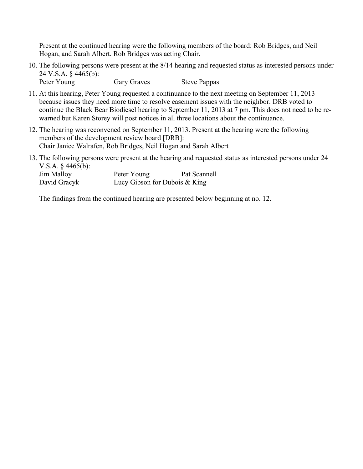Present at the continued hearing were the following members of the board: Rob Bridges, and Neil Hogan, and Sarah Albert. Rob Bridges was acting Chair.

- 10. The following persons were present at the 8/14 hearing and requested status as interested persons under 24 V.S.A. § 4465(b): Peter Young Gary Graves Steve Pappas
- 11. At this hearing, Peter Young requested a continuance to the next meeting on September 11, 2013 because issues they need more time to resolve easement issues with the neighbor. DRB voted to continue the Black Bear Biodiesel hearing to September 11, 2013 at 7 pm. This does not need to be rewarned but Karen Storey will post notices in all three locations about the continuance.
- 12. The hearing was reconvened on September 11, 2013. Present at the hearing were the following members of the development review board [DRB]: Chair Janice Walrafen, Rob Bridges, Neil Hogan and Sarah Albert
- 13. The following persons were present at the hearing and requested status as interested persons under 24 V.S.A. § 4465(b):

| Jim Malloy   | Peter Young                     | Pat Scannell |
|--------------|---------------------------------|--------------|
| David Gracyk | Lucy Gibson for Dubois $& King$ |              |

The findings from the continued hearing are presented below beginning at no. 12.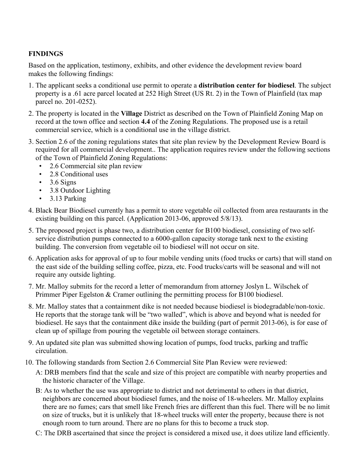## **FINDINGS**

Based on the application, testimony, exhibits, and other evidence the development review board makes the following findings:

- 1. The applicant seeks a conditional use permit to operate a **distribution center for biodiesel**. The subject property is a .61 acre parcel located at 252 High Street (US Rt. 2) in the Town of Plainfield (tax map parcel no. 201-0252).
- 2. The property is located in the **Village** District as described on the Town of Plainfield Zoning Map on record at the town office and section **4.4** of the Zoning Regulations. The proposed use is a retail commercial service, which is a conditional use in the village district.
- 3. Section 2.6 of the zoning regulations states that site plan review by the Development Review Board is required for all commercial development.. The application requires review under the following sections of the Town of Plainfield Zoning Regulations:
	- 2.6 Commercial site plan review
	- 2.8 Conditional uses
	- $\cdot$  3.6 Signs
	- 3.8 Outdoor Lighting
	- 3.13 Parking
- 4. Black Bear Biodiesel currently has a permit to store vegetable oil collected from area restaurants in the existing building on this parcel. (Application 2013-06, approved 5/8/13).
- 5. The proposed project is phase two, a distribution center for B100 biodiesel, consisting of two selfservice distribution pumps connected to a 6000-gallon capacity storage tank next to the existing building. The conversion from vegetable oil to biodiesel will not occur on site.
- 6. Application asks for approval of up to four mobile vending units (food trucks or carts) that will stand on the east side of the building selling coffee, pizza, etc. Food trucks/carts will be seasonal and will not require any outside lighting.
- 7. Mr. Malloy submits for the record a letter of memorandum from attorney Joslyn L. Wilschek of Primmer Piper Egelston & Cramer outlining the permitting process for B100 biodiesel.
- 8. Mr. Malloy states that a containment dike is not needed because biodiesel is biodegradable/non-toxic. He reports that the storage tank will be "two walled", which is above and beyond what is needed for biodiesel. He says that the containment dike inside the building (part of permit 2013-06), is for ease of clean up of spillage from pouring the vegetable oil between storage containers.
- 9. An updated site plan was submitted showing location of pumps, food trucks, parking and traffic circulation.
- 10. The following standards from Section 2.6 Commercial Site Plan Review were reviewed:
	- A: DRB members find that the scale and size of this project are compatible with nearby properties and the historic character of the Village.
	- B: As to whether the use was appropriate to district and not detrimental to others in that district, neighbors are concerned about biodiesel fumes, and the noise of 18-wheelers. Mr. Malloy explains there are no fumes; cars that smell like French fries are different than this fuel. There will be no limit on size of trucks, but it is unlikely that 18-wheel trucks will enter the property, because there is not enough room to turn around. There are no plans for this to become a truck stop.
	- C: The DRB ascertained that since the project is considered a mixed use, it does utilize land efficiently.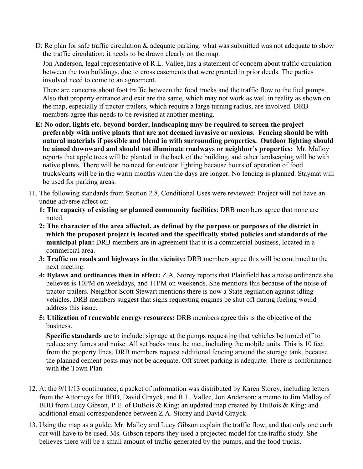D: Re plan for safe traffic circulation & adequate parking: what was submitted was not adequate to show the traffic circulation; it needs to be drawn clearly on the map.

Jon Anderson, legal representative of R.L. Vallee, has a statement of concern about traffic circulation between the two buildings, due to cross easements that were granted in prior deeds. The parties involved need to come to an agreement.

There are concerns about foot traffic between the food trucks and the traffic flow to the fuel pumps. Also that property entrance and exit are the same, which may not work as well in reality as shown on the map, especially if tractor-trailers, which require a large turning radius, are involved. DRB members agree this needs to be revisited at another meeting.

- **E: No odor, lights etc. beyond border, landscaping may be required to screen the project preferably with native plants that are not deemed invasive or noxious. Fencing should be with natural materials if possible and blend in with surrounding properties. Outdoor lighting should be aimed downward and should not illuminate roadways or neighbor's properties:** Mr. Malloy reports that apple trees will be planted in the back of the building, and other landscaping will be with native plants. There will be no need for outdoor lighting because hours of operation of food trucks/carts will be in the warm months when the days are longer. No fencing is planned. Staymat will be used for parking areas.
- 11. The following standards from Section 2.8, Conditional Uses were reviewed: Project will not have an undue adverse affect on:
	- **1: The capacity of existing or planned community facilities**: DRB members agree that none are noted.
	- **2: The character of the area affected, as defined by the purpose or purposes of the district in which the proposed project is located and the specifically stated policies and standards of the municipal plan:** DRB members are in agreement that it is a commercial business, located in a commercial area.
	- **3: Traffic on roads and highways in the vicinity:** DRB members agree this will be continued to the next meeting.
	- **4: Bylaws and ordinances then in effect:** Z.A. Storey reports that Plainfield has a noise ordinance she believes is 10PM on weekdays, and 11PM on weekends. She mentions this because of the noise of tractor-trailers. Neighbor Scott Stewart mentions there is now a State regulation against idling vehicles. DRB members suggest that signs requesting engines be shut off during fueling would address this issue.
	- **5: Utilization of renewable energy resources:** DRB members agree this is the objective of the business.

**Specific standards** are to include: signage at the pumps requesting that vehicles be turned off to reduce any fumes and noise. All set backs must be met, including the mobile units. This is 10 feet from the property lines. DRB members request additional fencing around the storage tank, because the planned cement posts may not be adequate. Off street parking is adequate. There is conformance with the Town Plan.

- 12. At the 9/11/13 continuance, a packet of information was distributed by Karen Storey, including letters from the Attorneys for BBB, David Grayck, and R.L. Vallee, Jon Anderson; a memo to Jim Malloy of BBB from Lucy Gibson, P.E. of DuBois & King; an updated map created by DuBois & King; and additional email correspondence between Z.A. Storey and David Grayck.
- 13. Using the map as a guide, Mr. Malloy and Lucy Gibson explain the traffic flow, and that only one curb cut will have to be used. Ms. Gibson reports they used a projected model for the traffic study. She believes there will be a small amount of traffic generated by the pumps, and the food trucks.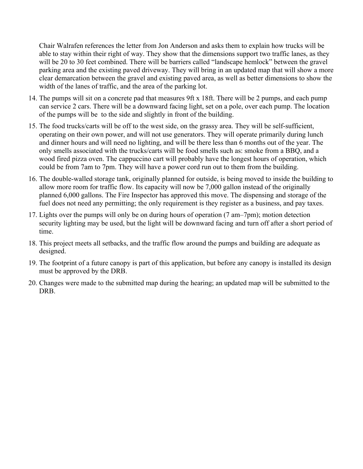Chair Walrafen references the letter from Jon Anderson and asks them to explain how trucks will be able to stay within their right of way. They show that the dimensions support two traffic lanes, as they will be 20 to 30 feet combined. There will be barriers called "landscape hemlock" between the gravel parking area and the existing paved driveway. They will bring in an updated map that will show a more clear demarcation between the gravel and existing paved area, as well as better dimensions to show the width of the lanes of traffic, and the area of the parking lot.

- 14. The pumps will sit on a concrete pad that measures 9ft x 18ft. There will be 2 pumps, and each pump can service 2 cars. There will be a downward facing light, set on a pole, over each pump. The location of the pumps will be to the side and slightly in front of the building.
- 15. The food trucks/carts will be off to the west side, on the grassy area. They will be self-sufficient, operating on their own power, and will not use generators. They will operate primarily during lunch and dinner hours and will need no lighting, and will be there less than 6 months out of the year. The only smells associated with the trucks/carts will be food smells such as: smoke from a BBQ, and a wood fired pizza oven. The cappuccino cart will probably have the longest hours of operation, which could be from 7am to 7pm. They will have a power cord run out to them from the building.
- 16. The double-walled storage tank, originally planned for outside, is being moved to inside the building to allow more room for traffic flow. Its capacity will now be 7,000 gallon instead of the originally planned 6,000 gallons. The Fire Inspector has approved this move. The dispensing and storage of the fuel does not need any permitting; the only requirement is they register as a business, and pay taxes.
- 17. Lights over the pumps will only be on during hours of operation (7 am–7pm); motion detection security lighting may be used, but the light will be downward facing and turn off after a short period of time.
- 18. This project meets all setbacks, and the traffic flow around the pumps and building are adequate as designed.
- 19. The footprint of a future canopy is part of this application, but before any canopy is installed its design must be approved by the DRB.
- 20. Changes were made to the submitted map during the hearing; an updated map will be submitted to the DRB.